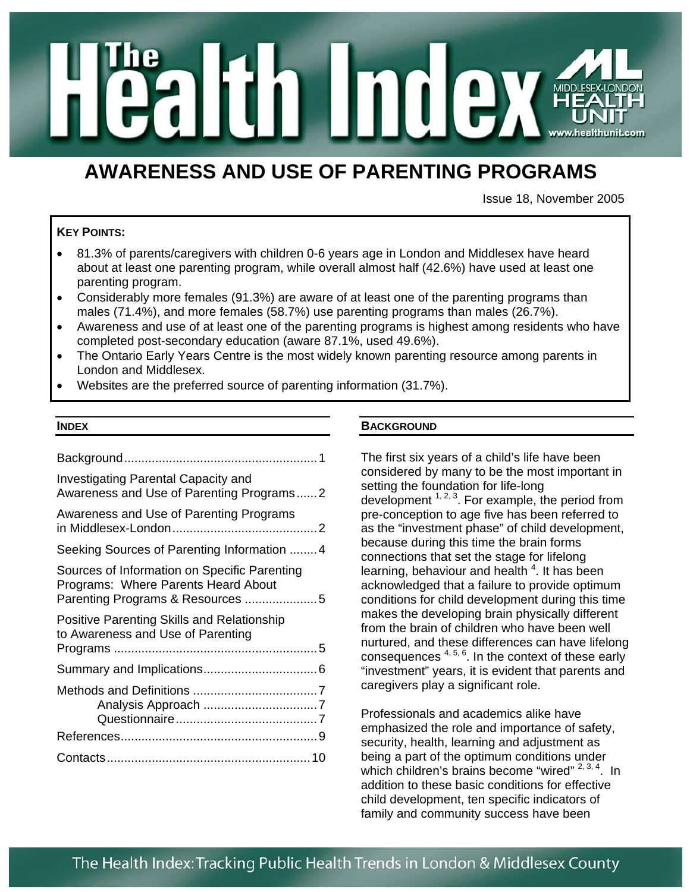

# **AWARENESS AND USE OF PARENTING PROGRAMS**

Issue 18, November 2005

### **KEY POINTS:**

- 81.3% of parents/caregivers with children 0-6 years age in London and Middlesex have heard about at least one parenting program, while overall almost half (42.6%) have used at least one parenting program.
- Considerably more females (91.3%) are aware of at least one of the parenting programs than males (71.4%), and more females (58.7%) use parenting programs than males (26.7%).
- Awareness and use of at least one of the parenting programs is highest among residents who have completed post-secondary education (aware 87.1%, used 49.6%).
- The Ontario Early Years Centre is the most widely known parenting resource among parents in London and Middlesex.
- Websites are the preferred source of parenting information (31.7%).

#### **INDEX**

| <b>Investigating Parental Capacity and</b><br>Awareness and Use of Parenting Programs2 |
|----------------------------------------------------------------------------------------|
| Awareness and Use of Parenting Programs                                                |
| Seeking Sources of Parenting Information 4                                             |
| Sources of Information on Specific Parenting<br>Programs: Where Parents Heard About    |
| Positive Parenting Skills and Relationship<br>to Awareness and Use of Parenting        |
|                                                                                        |
|                                                                                        |
|                                                                                        |
|                                                                                        |

#### **BACKGROUND**

The first six years of a child's life have been considered by many to be the most important in setting the foundation for life-long development  $1, 2, 3$ . For example, the period from pre-conception to age five has been referred to as the "investment phase" of child development, because during this time the brain forms connections that set the stage for lifelong learning, behaviour and health<sup>4</sup>. It has been acknowledged that a failure to provide optimum conditions for child development during this time makes the developing brain physically different from the brain of children who have been well nurtured, and these differences can have lifelong consequences  $4, 5, 6$ . In the context of these early "investment" years, it is evident that parents and caregivers play a significant role.

Professionals and academics alike have emphasized the role and importance of safety, security, health, learning and adjustment as being a part of the optimum conditions under which children's brains become "wired"  $2, 3, 4$ . In addition to these basic conditions for effective child development, ten specific indicators of family and community success have been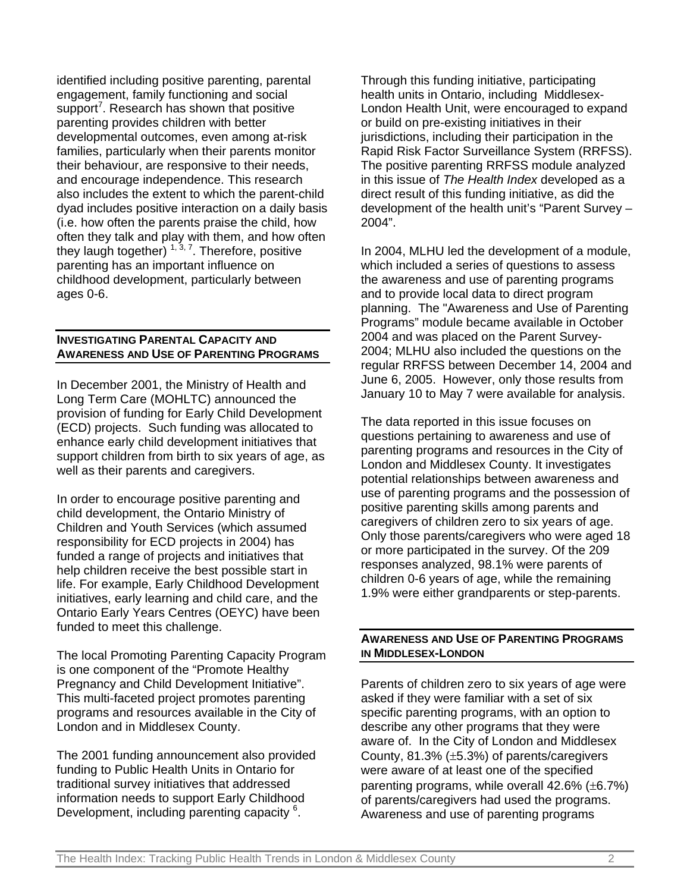identified including positive parenting, parental engagement, family functioning and social support<sup>7</sup>. Research has shown that positive parenting provides children with better developmental outcomes, even among at-risk families, particularly when their parents monitor their behaviour, are responsive to their needs, and encourage independence. This research also includes the extent to which the parent-child dyad includes positive interaction on a daily basis (i.e. how often the parents praise the child, how often they talk and play with them, and how often they laugh together) <sup>1, 3, 7</sup>. Therefore, positive parenting has an important influence on childhood development, particularly between ages 0-6.

# **INVESTIGATING PARENTAL CAPACITY AND AWARENESS AND USE OF PARENTING PROGRAMS**

In December 2001, the Ministry of Health and Long Term Care (MOHLTC) announced the provision of funding for Early Child Development (ECD) projects. Such funding was allocated to enhance early child development initiatives that support children from birth to six years of age, as well as their parents and caregivers.

In order to encourage positive parenting and child development, the Ontario Ministry of Children and Youth Services (which assumed responsibility for ECD projects in 2004) has funded a range of projects and initiatives that help children receive the best possible start in life. For example, Early Childhood Development initiatives, early learning and child care, and the Ontario Early Years Centres (OEYC) have been funded to meet this challenge.

The local Promoting Parenting Capacity Program is one component of the "Promote Healthy Pregnancy and Child Development Initiative". This multi-faceted project promotes parenting programs and resources available in the City of London and in Middlesex County.

The 2001 funding announcement also provided funding to Public Health Units in Ontario for traditional survey initiatives that addressed information needs to support Early Childhood Development, including parenting capacity<sup>6</sup>.

Through this funding initiative, participating health units in Ontario, including Middlesex-London Health Unit, were encouraged to expand or build on pre-existing initiatives in their jurisdictions, including their participation in the Rapid Risk Factor Surveillance System (RRFSS). The positive parenting RRFSS module analyzed in this issue of *The Health Index* developed as a direct result of this funding initiative, as did the development of the health unit's "Parent Survey – 2004".

In 2004, MLHU led the development of a module, which included a series of questions to assess the awareness and use of parenting programs and to provide local data to direct program planning. The "Awareness and Use of Parenting Programs" module became available in October 2004 and was placed on the Parent Survey-2004; MLHU also included the questions on the regular RRFSS between December 14, 2004 and June 6, 2005. However, only those results from January 10 to May 7 were available for analysis.

The data reported in this issue focuses on questions pertaining to awareness and use of parenting programs and resources in the City of London and Middlesex County. It investigates potential relationships between awareness and use of parenting programs and the possession of positive parenting skills among parents and caregivers of children zero to six years of age. Only those parents/caregivers who were aged 18 or more participated in the survey. Of the 209 responses analyzed, 98.1% were parents of children 0-6 years of age, while the remaining 1.9% were either grandparents or step-parents.

## **AWARENESS AND USE OF PARENTING PROGRAMS IN MIDDLESEX-LONDON**

Parents of children zero to six years of age were asked if they were familiar with a set of six specific parenting programs, with an option to describe any other programs that they were aware of. In the City of London and Middlesex County, 81.3% (±5.3%) of parents/caregivers were aware of at least one of the specified parenting programs, while overall 42.6% (±6.7%) of parents/caregivers had used the programs. Awareness and use of parenting programs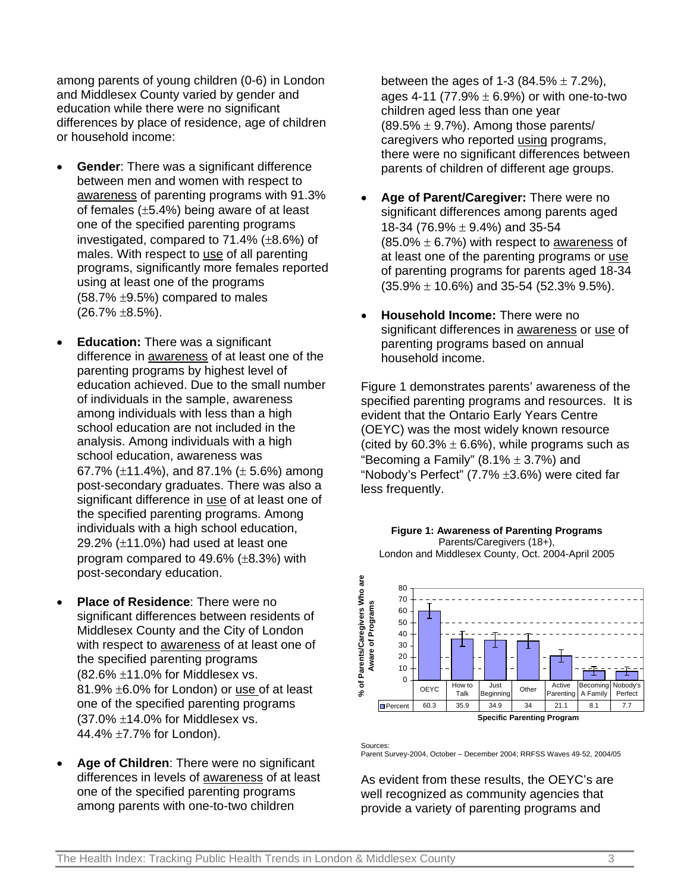among parents of young children (0-6) in London and Middlesex County varied by gender and education while there were no significant differences by place of residence, age of children or household income:

- **Gender:** There was a significant difference between men and women with respect to awareness of parenting programs with 91.3% of females (±5.4%) being aware of at least one of the specified parenting programs investigated, compared to 71.4% (±8.6%) of males. With respect to use of all parenting programs, significantly more females reported using at least one of the programs  $(58.7\% \pm 9.5\%)$  compared to males  $(26.7\% \pm 8.5\%).$
- **Education:** There was a significant difference in awareness of at least one of the parenting programs by highest level of education achieved. Due to the small number of individuals in the sample, awareness among individuals with less than a high school education are not included in the analysis. Among individuals with a high school education, awareness was 67.7% ( $\pm$ 11.4%), and 87.1% ( $\pm$  5.6%) among post-secondary graduates. There was also a significant difference in use of at least one of the specified parenting programs. Among individuals with a high school education, 29.2% (±11.0%) had used at least one program compared to 49.6% (±8.3%) with post-secondary education.
- **Place of Residence:** There were no significant differences between residents of Middlesex County and the City of London with respect to awareness of at least one of the specified parenting programs  $(82.6\% \pm 11.0\%$  for Middlesex vs. 81.9% ±6.0% for London) or use of at least one of the specified parenting programs  $(37.0\% \pm 14.0\%$  for Middlesex vs. 44.4% ±7.7% for London).
- **Age of Children**: There were no significant differences in levels of awareness of at least one of the specified parenting programs among parents with one-to-two children

between the ages of 1-3 (84.5%  $\pm$  7.2%), ages 4-11 (77.9%  $\pm$  6.9%) or with one-to-two children aged less than one year  $(89.5\% \pm 9.7\%)$ . Among those parents/ caregivers who reported using programs, there were no significant differences between parents of children of different age groups.

- **Age of Parent/Caregiver:** There were no significant differences among parents aged 18-34 (76.9% ± 9.4%) and 35-54  $(85.0\% \pm 6.7\%)$  with respect to awareness of at least one of the parenting programs or use of parenting programs for parents aged 18-34  $(35.9\% \pm 10.6\%)$  and 35-54 (52.3% 9.5%).
- **Household Income:** There were no significant differences in awareness or use of parenting programs based on annual household income.

Figure 1 demonstrates parents' awareness of the specified parenting programs and resources. It is evident that the Ontario Early Years Centre (OEYC) was the most widely known resource (cited by  $60.3\% \pm 6.6\%$ ), while programs such as "Becoming a Family"  $(8.1\% \pm 3.7\%)$  and "Nobody's Perfect" (7.7% ±3.6%) were cited far less frequently.



**Figure 1: Awareness of Parenting Programs** Parents/Caregivers (18+), London and Middlesex County, Oct. 2004-April 2005

**Sources** Parent Survey-2004, October – December 2004; RRFSS Waves 49-52, 2004/05

As evident from these results, the OEYC's are well recognized as community agencies that provide a variety of parenting programs and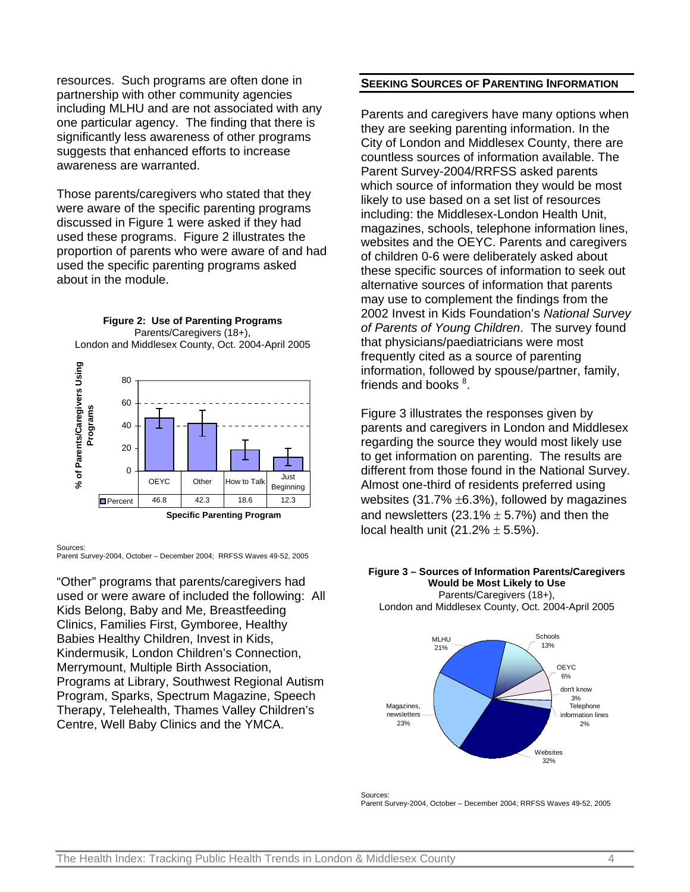resources. Such programs are often done in partnership with other community agencies including MLHU and are not associated with any one particular agency. The finding that there is significantly less awareness of other programs suggests that enhanced efforts to increase awareness are warranted.

Those parents/caregivers who stated that they were aware of the specific parenting programs discussed in Figure 1 were asked if they had used these programs. Figure 2 illustrates the proportion of parents who were aware of and had used the specific parenting programs asked about in the module.



Sources:

Parent Survey-2004, October – December 2004; RRFSS Waves 49-52, 2005

"Other" programs that parents/caregivers had used or were aware of included the following: All Kids Belong, Baby and Me, Breastfeeding Clinics, Families First, Gymboree, Healthy Babies Healthy Children, Invest in Kids, Kindermusik, London Children's Connection, Merrymount, Multiple Birth Association, Programs at Library, Southwest Regional Autism Program, Sparks, Spectrum Magazine, Speech Therapy, Telehealth, Thames Valley Children's Centre, Well Baby Clinics and the YMCA.

#### **SEEKING SOURCES OF PARENTING INFORMATION**

Parents and caregivers have many options when they are seeking parenting information. In the City of London and Middlesex County, there are countless sources of information available. The Parent Survey-2004/RRFSS asked parents which source of information they would be most likely to use based on a set list of resources including: the Middlesex-London Health Unit, magazines, schools, telephone information lines, websites and the OEYC. Parents and caregivers of children 0-6 were deliberately asked about these specific sources of information to seek out alternative sources of information that parents may use to complement the findings from the 2002 Invest in Kids Foundation's *National Survey of Parents of Young Children*. The survey found that physicians/paediatricians were most frequently cited as a source of parenting information, followed by spouse/partner, family, friends and books  $^8$ .

Figure 3 illustrates the responses given by parents and caregivers in London and Middlesex regarding the source they would most likely use to get information on parenting. The results are different from those found in the National Survey. Almost one-third of residents preferred using websites  $(31.7\% \pm 6.3\%)$ , followed by magazines and newsletters (23.1%  $\pm$  5.7%) and then the local health unit  $(21.2% \pm 5.5%)$ .



Sources: Parent Survey-2004, October – December 2004; RRFSS Waves 49-52, 2005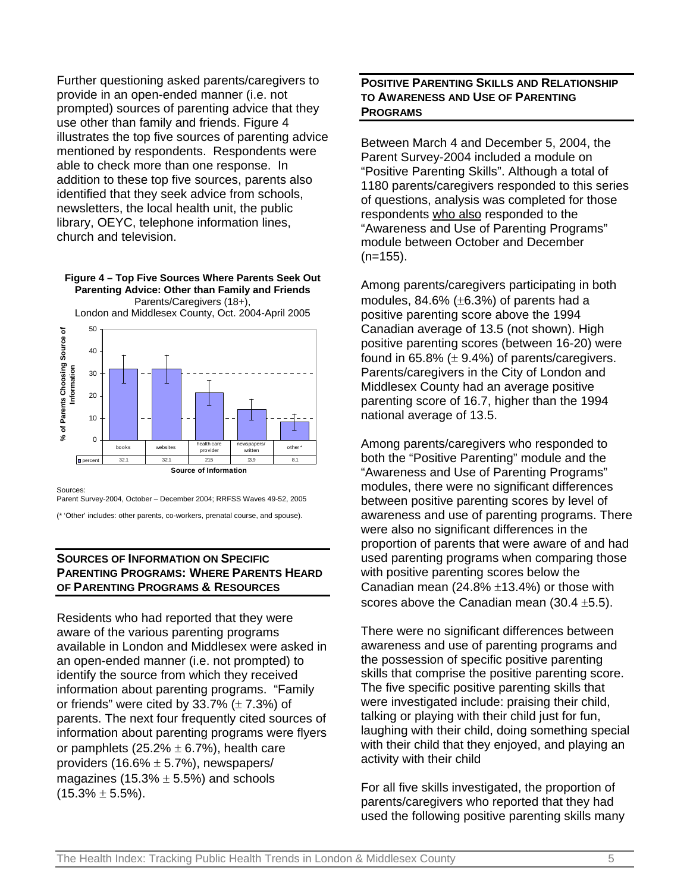Further questioning asked parents/caregivers to provide in an open-ended manner (i.e. not prompted) sources of parenting advice that they use other than family and friends. Figure 4 illustrates the top five sources of parenting advice mentioned by respondents. Respondents were able to check more than one response. In addition to these top five sources, parents also identified that they seek advice from schools, newsletters, the local health unit, the public library, OEYC, telephone information lines, church and television.

**Figure 4 – Top Five Sources Where Parents Seek Out Parenting Advice: Other than Family and Friends** Parents/Caregivers (18+),



Sources:

Parent Survey-2004, October – December 2004; RRFSS Waves 49-52, 2005

(\* 'Other' includes: other parents, co-workers, prenatal course, and spouse).

# **SOURCES OF INFORMATION ON SPECIFIC PARENTING PROGRAMS: WHERE PARENTS HEARD OF PARENTING PROGRAMS & RESOURCES**

Residents who had reported that they were aware of the various parenting programs available in London and Middlesex were asked in an open-ended manner (i.e. not prompted) to identify the source from which they received information about parenting programs. "Family or friends" were cited by  $33.7\%$  ( $\pm$  7.3%) of parents. The next four frequently cited sources of information about parenting programs were flyers or pamphlets  $(25.2\% \pm 6.7\%)$ , health care providers  $(16.6\% \pm 5.7\%)$ , newspapers/ magazines (15.3%  $\pm$  5.5%) and schools  $(15.3\% \pm 5.5\%).$ 

# **POSITIVE PARENTING SKILLS AND RELATIONSHIP TO AWARENESS AND USE OF PARENTING PROGRAMS**

Between March 4 and December 5, 2004, the Parent Survey-2004 included a module on "Positive Parenting Skills". Although a total of 1180 parents/caregivers responded to this series of questions, analysis was completed for those respondents who also responded to the "Awareness and Use of Parenting Programs" module between October and December  $(n=155)$ .

Among parents/caregivers participating in both modules,  $84.6\%$  ( $\pm 6.3\%$ ) of parents had a positive parenting score above the 1994 Canadian average of 13.5 (not shown). High positive parenting scores (between 16-20) were found in  $65.8\%$  ( $\pm$  9.4%) of parents/caregivers. Parents/caregivers in the City of London and Middlesex County had an average positive parenting score of 16.7, higher than the 1994 national average of 13.5.

Among parents/caregivers who responded to both the "Positive Parenting" module and the "Awareness and Use of Parenting Programs" modules, there were no significant differences between positive parenting scores by level of awareness and use of parenting programs. There were also no significant differences in the proportion of parents that were aware of and had used parenting programs when comparing those with positive parenting scores below the Canadian mean  $(24.8\% \pm 13.4\%)$  or those with scores above the Canadian mean  $(30.4 \pm 5.5)$ .

There were no significant differences between awareness and use of parenting programs and the possession of specific positive parenting skills that comprise the positive parenting score. The five specific positive parenting skills that were investigated include: praising their child, talking or playing with their child just for fun, laughing with their child, doing something special with their child that they enjoyed, and playing an activity with their child

For all five skills investigated, the proportion of parents/caregivers who reported that they had used the following positive parenting skills many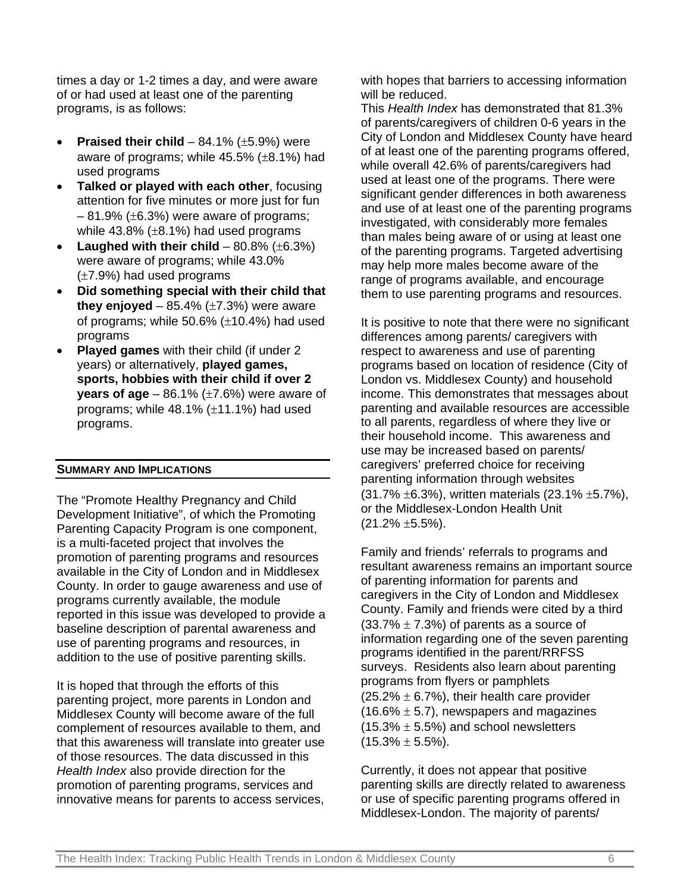times a day or 1-2 times a day, and were aware of or had used at least one of the parenting programs, is as follows:

- **Praised their child**  $84.1\%$  ( $\pm 5.9\%$ ) were aware of programs; while 45.5% (±8.1%) had used programs
- **Talked or played with each other**, focusing attention for five minutes or more just for fun  $-81.9\%$  ( $\pm 6.3\%$ ) were aware of programs; while  $43.8\%$  ( $\pm 8.1\%$ ) had used programs
- **Laughed with their child**  $80.8\%$  ( $\pm 6.3\%$ ) were aware of programs; while 43.0% (±7.9%) had used programs
- **Did something special with their child that they enjoyed** –  $85.4\%$  ( $\pm$ 7.3%) were aware of programs; while 50.6% (±10.4%) had used programs
- **Played games** with their child (if under 2 years) or alternatively, **played games, sports, hobbies with their child if over 2 years of age**  $-$  86.1% ( $\pm$ 7.6%) were aware of programs; while 48.1% (±11.1%) had used programs.

#### **SUMMARY AND IMPLICATIONS**

The "Promote Healthy Pregnancy and Child Development Initiative", of which the Promoting Parenting Capacity Program is one component, is a multi-faceted project that involves the promotion of parenting programs and resources available in the City of London and in Middlesex County. In order to gauge awareness and use of programs currently available, the module reported in this issue was developed to provide a baseline description of parental awareness and use of parenting programs and resources, in addition to the use of positive parenting skills.

It is hoped that through the efforts of this parenting project, more parents in London and Middlesex County will become aware of the full complement of resources available to them, and that this awareness will translate into greater use of those resources. The data discussed in this *Health Index* also provide direction for the promotion of parenting programs, services and innovative means for parents to access services,

with hopes that barriers to accessing information will be reduced.

This *Health Index* has demonstrated that 81.3% of parents/caregivers of children 0-6 years in the City of London and Middlesex County have heard of at least one of the parenting programs offered, while overall 42.6% of parents/caregivers had used at least one of the programs. There were significant gender differences in both awareness and use of at least one of the parenting programs investigated, with considerably more females than males being aware of or using at least one of the parenting programs. Targeted advertising may help more males become aware of the range of programs available, and encourage them to use parenting programs and resources.

It is positive to note that there were no significant differences among parents/ caregivers with respect to awareness and use of parenting programs based on location of residence (City of London vs. Middlesex County) and household income. This demonstrates that messages about parenting and available resources are accessible to all parents, regardless of where they live or their household income. This awareness and use may be increased based on parents/ caregivers' preferred choice for receiving parenting information through websites (31.7% ±6.3%), written materials (23.1% ±5.7%), or the Middlesex-London Health Unit  $(21.2\% \pm 5.5\%).$ 

Family and friends' referrals to programs and resultant awareness remains an important source of parenting information for parents and caregivers in the City of London and Middlesex County. Family and friends were cited by a third  $(33.7\% \pm 7.3\%)$  of parents as a source of information regarding one of the seven parenting programs identified in the parent/RRFSS surveys. Residents also learn about parenting programs from flyers or pamphlets  $(25.2\% \pm 6.7\%)$ , their health care provider  $(16.6\% \pm 5.7)$ , newspapers and magazines  $(15.3\% \pm 5.5\%)$  and school newsletters  $(15.3\% \pm 5.5\%).$ 

Currently, it does not appear that positive parenting skills are directly related to awareness or use of specific parenting programs offered in Middlesex-London. The majority of parents/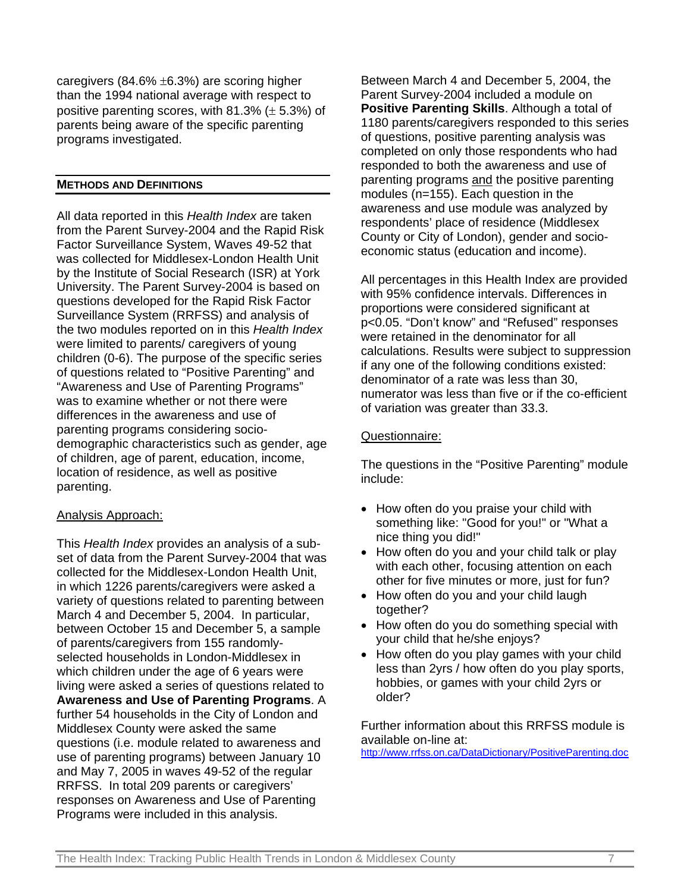caregivers (84.6% ±6.3%) are scoring higher than the 1994 national average with respect to positive parenting scores, with  $81.3\%$  ( $\pm$  5.3%) of parents being aware of the specific parenting programs investigated.

# **METHODS AND DEFINITIONS**

All data reported in this *Health Index* are taken from the Parent Survey-2004 and the Rapid Risk Factor Surveillance System, Waves 49-52 that was collected for Middlesex-London Health Unit by the Institute of Social Research (ISR) at York University. The Parent Survey-2004 is based on questions developed for the Rapid Risk Factor Surveillance System (RRFSS) and analysis of the two modules reported on in this *Health Index* were limited to parents/ caregivers of young children (0-6). The purpose of the specific series of questions related to "Positive Parenting" and "Awareness and Use of Parenting Programs" was to examine whether or not there were differences in the awareness and use of parenting programs considering sociodemographic characteristics such as gender, age of children, age of parent, education, income, location of residence, as well as positive parenting.

# Analysis Approach:

This *Health Index* provides an analysis of a subset of data from the Parent Survey-2004 that was collected for the Middlesex-London Health Unit, in which 1226 parents/caregivers were asked a variety of questions related to parenting between March 4 and December 5, 2004. In particular, between October 15 and December 5, a sample of parents/caregivers from 155 randomlyselected households in London-Middlesex in which children under the age of 6 years were living were asked a series of questions related to **Awareness and Use of Parenting Programs**. A further 54 households in the City of London and Middlesex County were asked the same questions (i.e. module related to awareness and use of parenting programs) between January 10 and May 7, 2005 in waves 49-52 of the regular RRFSS. In total 209 parents or caregivers' responses on Awareness and Use of Parenting Programs were included in this analysis.

Between March 4 and December 5, 2004, the Parent Survey-2004 included a module on **Positive Parenting Skills**. Although a total of 1180 parents/caregivers responded to this series of questions, positive parenting analysis was completed on only those respondents who had responded to both the awareness and use of parenting programs and the positive parenting modules (n=155). Each question in the awareness and use module was analyzed by respondents' place of residence (Middlesex County or City of London), gender and socioeconomic status (education and income).

All percentages in this Health Index are provided with 95% confidence intervals. Differences in proportions were considered significant at p<0.05. "Don't know" and "Refused" responses were retained in the denominator for all calculations. Results were subject to suppression if any one of the following conditions existed: denominator of a rate was less than 30, numerator was less than five or if the co-efficient of variation was greater than 33.3.

## Questionnaire:

The questions in the "Positive Parenting" module include:

- How often do you praise your child with something like: "Good for you!" or "What a nice thing you did!"
- How often do you and your child talk or play with each other, focusing attention on each other for five minutes or more, just for fun?
- How often do you and your child laugh together?
- How often do you do something special with your child that he/she enjoys?
- How often do you play games with your child less than 2yrs / how often do you play sports, hobbies, or games with your child 2yrs or older?

Further information about this RRFSS module is available on-line at:

http://www.rrfss.on.ca/DataDictionary/PositiveParenting.doc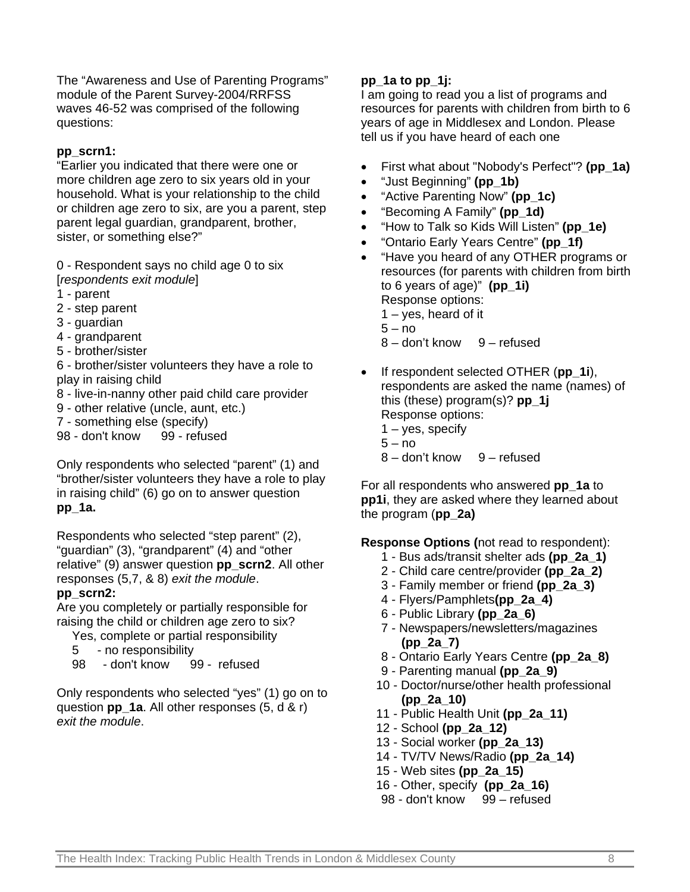The "Awareness and Use of Parenting Programs" module of the Parent Survey-2004/RRFSS waves 46-52 was comprised of the following questions:

# **pp\_scrn1:**

"Earlier you indicated that there were one or more children age zero to six years old in your household. What is your relationship to the child or children age zero to six, are you a parent, step parent legal guardian, grandparent, brother, sister, or something else?"

0 - Respondent says no child age 0 to six [*respondents exit module*]

- 1 parent
- 2 step parent
- 3 guardian
- 4 grandparent
- 5 brother/sister

6 - brother/sister volunteers they have a role to play in raising child

- 8 live-in-nanny other paid child care provider
- 9 other relative (uncle, aunt, etc.)
- 7 something else (specify)

98 - don't know 99 - refused

Only respondents who selected "parent" (1) and "brother/sister volunteers they have a role to play in raising child" (6) go on to answer question **pp\_1a.**

Respondents who selected "step parent" (2), "guardian" (3), "grandparent" (4) and "other relative" (9) answer question **pp\_scrn2**. All other responses (5,7, & 8) *exit the module*.

# **pp\_scrn2:**

Are you completely or partially responsible for raising the child or children age zero to six?

- Yes, complete or partial responsibility
- 5 no responsibility
- 98 don't know 99 refused

Only respondents who selected "yes" (1) go on to question **pp\_1a**. All other responses (5, d & r) *exit the module*.

# **pp\_1a to pp\_1j:**

I am going to read you a list of programs and resources for parents with children from birth to 6 years of age in Middlesex and London. Please tell us if you have heard of each one

- First what about "Nobody's Perfect"? **(pp\_1a)**
- "Just Beginning" **(pp\_1b)**
- "Active Parenting Now" **(pp\_1c)**
- "Becoming A Family" **(pp\_1d)**
- "How to Talk so Kids Will Listen" **(pp\_1e)**
- "Ontario Early Years Centre" **(pp\_1f)**
- "Have you heard of any OTHER programs or resources (for parents with children from birth to 6 years of age)" **(pp\_1i)** Response options: 1 – yes, heard of it  $5 - no$ 
	- 8 don't know 9 refused
- If respondent selected OTHER (**pp\_1i**), respondents are asked the name (names) of this (these) program(s)? **pp\_1j** Response options:  $1 - yes$ , specify
	- $5 no$
	- 8 don't know 9 refused

For all respondents who answered **pp\_1a** to **pp1i**, they are asked where they learned about the program (**pp\_2a)**

**Response Options (**not read to respondent):

- 1 Bus ads/transit shelter ads **(pp\_2a\_1)**
- 2 Child care centre/provider **(pp\_2a\_2)**
- 3 Family member or friend **(pp\_2a\_3)**
- 4 Flyers/Pamphlets**(pp\_2a\_4)**
- 6 Public Library **(pp\_2a\_6)**
- 7 Newspapers/newsletters/magazines **(pp\_2a\_7)**
- 8 Ontario Early Years Centre **(pp\_2a\_8)**
- 9 Parenting manual **(pp\_2a\_9)**
- 10 Doctor/nurse/other health professional **(pp\_2a\_10)**
- 11 Public Health Unit **(pp\_2a\_11)**
- 12 School **(pp\_2a\_12)**
- 13 Social worker **(pp\_2a\_13)**
- 14 TV/TV News/Radio **(pp\_2a\_14)**
- 15 Web sites **(pp\_2a\_15)**
- 16 Other, specify **(pp\_2a\_16)**
- 98 don't know 99 refused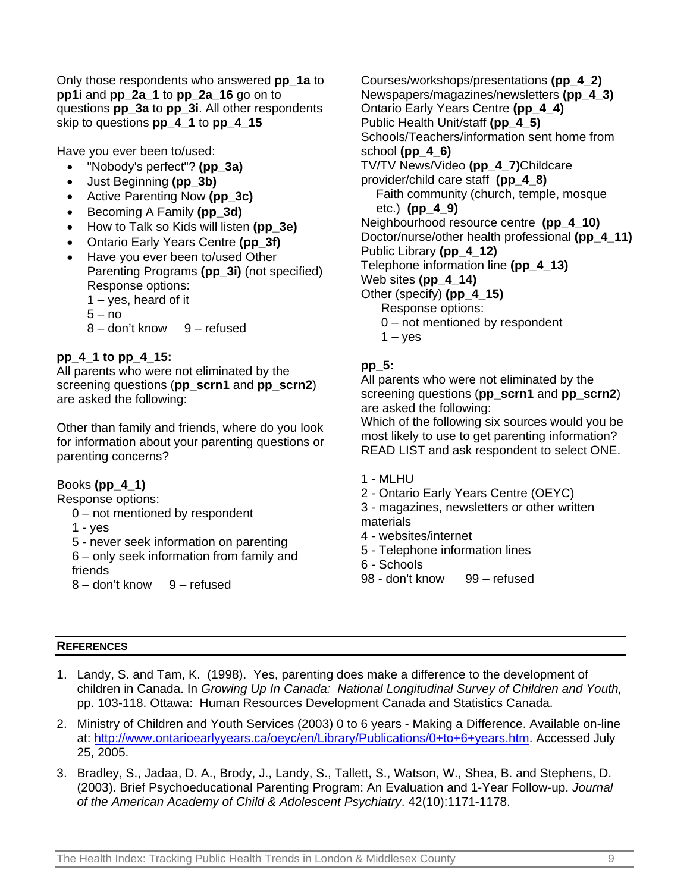Only those respondents who answered **pp\_1a** to **pp1i** and **pp\_2a\_1** to **pp\_2a\_16** go on to questions **pp\_3a** to **pp\_3i**. All other respondents skip to questions **pp\_4\_1** to **pp\_4\_15**

Have you ever been to/used:

- "Nobody's perfect"? **(pp\_3a)**
- Just Beginning **(pp\_3b)**
- Active Parenting Now **(pp\_3c)**
- Becoming A Family **(pp\_3d)**
- How to Talk so Kids will listen **(pp\_3e)**
- Ontario Early Years Centre **(pp\_3f)**
- Have you ever been to/used Other Parenting Programs **(pp\_3i)** (not specified) Response options: 1 – yes, heard of it  $5 - no$ 8 – don't know 9 – refused

# **pp\_4\_1 to pp\_4\_15:**

All parents who were not eliminated by the screening questions (**pp\_scrn1** and **pp\_scrn2**) are asked the following:

Other than family and friends, where do you look for information about your parenting questions or parenting concerns?

# Books **(pp\_4\_1)**

Response options:

- 0 not mentioned by respondent
- 1 yes

5 - never seek information on parenting

6 – only seek information from family and friends

8 – don't know 9 – refused

Courses/workshops/presentations **(pp\_4\_2)** Newspapers/magazines/newsletters **(pp\_4\_3)** Ontario Early Years Centre **(pp\_4\_4)** Public Health Unit/staff **(pp\_4\_5)** Schools/Teachers/information sent home from school **(pp\_4\_6)** TV/TV News/Video **(pp\_4\_7)**Childcare provider/child care staff **(pp\_4\_8)** Faith community (church, temple, mosque etc.) **(pp\_4\_9)** Neighbourhood resource centre **(pp\_4\_10)** Doctor/nurse/other health professional **(pp\_4\_11)** Public Library **(pp\_4\_12)** Telephone information line **(pp\_4\_13)** Web sites **(pp\_4\_14)** Other (specify) **(pp\_4\_15)** Response options: 0 – not mentioned by respondent  $1 - y$ es

# **pp\_5:**

All parents who were not eliminated by the screening questions (**pp\_scrn1** and **pp\_scrn2**) are asked the following:

Which of the following six sources would you be most likely to use to get parenting information? READ LIST and ask respondent to select ONE.

- 1 MLHU
- 2 Ontario Early Years Centre (OEYC)
- 3 magazines, newsletters or other written materials
- 4 websites/internet
- 5 Telephone information lines
- 6 Schools
- 98 don't know 99 refused

### **REFERENCES**

- 1. Landy, S. and Tam, K. (1998). Yes, parenting does make a difference to the development of children in Canada. In *Growing Up In Canada: National Longitudinal Survey of Children and Youth,* pp. 103-118. Ottawa: Human Resources Development Canada and Statistics Canada.
- 2. Ministry of Children and Youth Services (2003) 0 to 6 years Making a Difference. Available on-line at: http://www.ontarioearlyyears.ca/oeyc/en/Library/Publications/0+to+6+years.htm. Accessed July 25, 2005.
- 3. Bradley, S., Jadaa, D. A., Brody, J., Landy, S., Tallett, S., Watson, W., Shea, B. and Stephens, D. (2003). Brief Psychoeducational Parenting Program: An Evaluation and 1-Year Follow-up. *Journal of the American Academy of Child & Adolescent Psychiatry*. 42(10):1171-1178.